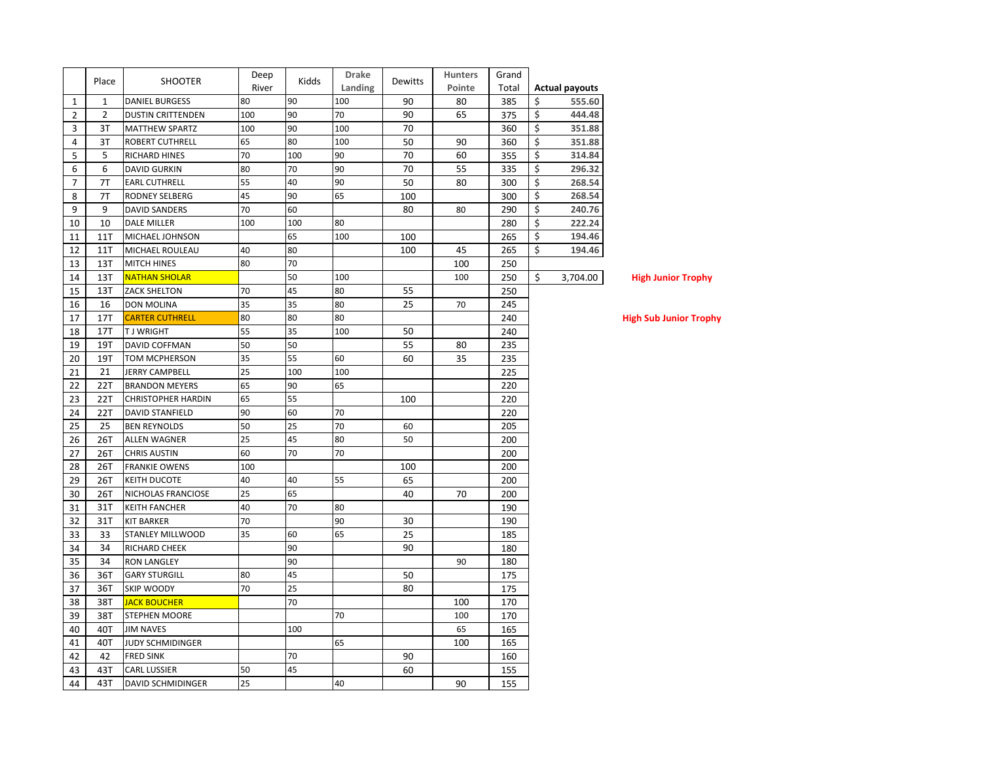|                | Place          | <b>SHOOTER</b>            | Deep  | Kidds | <b>Drake</b> | Dewitts | <b>Hunters</b> | Grand |    |                       |
|----------------|----------------|---------------------------|-------|-------|--------------|---------|----------------|-------|----|-----------------------|
|                |                |                           | River |       | Landing      |         | Pointe         | Total |    | <b>Actual payouts</b> |
| 1              | $\mathbf{1}$   | <b>DANIEL BURGESS</b>     | 80    | 90    | 100          | 90      | 80             | 385   | Ś  | 555.60                |
| $\overline{2}$ | $\overline{2}$ | <b>DUSTIN CRITTENDEN</b>  | 100   | 90    | 70           | 90      | 65             | 375   | \$ | 444.48                |
| 3              | 3T             | <b>MATTHEW SPARTZ</b>     | 100   | 90    | 100          | 70      |                | 360   | \$ | 351.88                |
| 4              | 3T             | ROBERT CUTHRELL           | 65    | 80    | 100          | 50      | 90             | 360   | \$ | 351.88                |
| 5              | 5              | RICHARD HINES             | 70    | 100   | 90           | 70      | 60             | 355   | Ś  | 314.84                |
| 6              | 6              | <b>DAVID GURKIN</b>       | 80    | 70    | 90           | 70      | 55             | 335   | \$ | 296.32                |
| $\overline{7}$ | 7T             | <b>EARL CUTHRELL</b>      | 55    | 40    | 90           | 50      | 80             | 300   | \$ | 268.54                |
| 8              | 7T             | RODNEY SELBERG            | 45    | 90    | 65           | 100     |                | 300   | Ś  | 268.54                |
| 9              | 9              | <b>DAVID SANDERS</b>      | 70    | 60    |              | 80      | 80             | 290   | \$ | 240.76                |
| 10             | 10             | <b>DALE MILLER</b>        | 100   | 100   | 80           |         |                | 280   | \$ | 222.24                |
| 11             | <b>11T</b>     | MICHAEL JOHNSON           |       | 65    | 100          | 100     |                | 265   | \$ | 194.46                |
| 12             | 11T            | MICHAEL ROULEAU           | 40    | 80    |              | 100     | 45             | 265   | Ś  | 194.46                |
| 13             | 13T            | <b>MITCH HINES</b>        | 80    | 70    |              |         | 100            | 250   |    |                       |
| 14             | 13T            | <b>NATHAN SHOLAR</b>      |       | 50    | 100          |         | 100            | 250   | \$ | 3,704.00              |
| 15             | 13T            | <b>ZACK SHELTON</b>       | 70    | 45    | 80           | 55      |                | 250   |    |                       |
| 16             | 16             | <b>DON MOLINA</b>         | 35    | 35    | 80           | 25      | 70             | 245   |    |                       |
| 17             | 17T            | <b>CARTER CUTHRELL</b>    | 80    | 80    | 80           |         |                | 240   |    |                       |
| 18             | 17T            | <b>TJWRIGHT</b>           | 55    | 35    | 100          | 50      |                | 240   |    |                       |
| 19             | 19T            | DAVID COFFMAN             | 50    | 50    |              | 55      | 80             | 235   |    |                       |
| 20             | 19T            | TOM MCPHERSON             | 35    | 55    | 60           | 60      | 35             | 235   |    |                       |
| 21             | 21             | <b>JERRY CAMPBELL</b>     | 25    | 100   | 100          |         |                | 225   |    |                       |
| 22             | 22T            | <b>BRANDON MEYERS</b>     | 65    | 90    | 65           |         |                | 220   |    |                       |
| 23             | 22T            | <b>CHRISTOPHER HARDIN</b> | 65    | 55    |              | 100     |                | 220   |    |                       |
| 24             | 22T            | DAVID STANFIELD           | 90    | 60    | 70           |         |                | 220   |    |                       |
| 25             | 25             | <b>BEN REYNOLDS</b>       | 50    | 25    | 70           | 60      |                | 205   |    |                       |
| 26             | 26T            | ALLEN WAGNER              | 25    | 45    | 80           | 50      |                | 200   |    |                       |
| 27             | 26T            | <b>CHRIS AUSTIN</b>       | 60    | 70    | 70           |         |                | 200   |    |                       |
| 28             | 26T            | <b>FRANKIE OWENS</b>      | 100   |       |              | 100     |                | 200   |    |                       |
| 29             | 26T            | <b>KEITH DUCOTE</b>       | 40    | 40    | 55           | 65      |                | 200   |    |                       |
| 30             | 26T            | NICHOLAS FRANCIOSE        | 25    | 65    |              | 40      | 70             | 200   |    |                       |
| 31             | 31T            | KEITH FANCHER             | 40    | 70    | 80           |         |                | 190   |    |                       |
| 32             | 31T            | <b>KIT BARKER</b>         | 70    |       | 90           | 30      |                | 190   |    |                       |
| 33             | 33             | STANLEY MILLWOOD          | 35    | 60    | 65           | 25      |                | 185   |    |                       |
| 34             | 34             | RICHARD CHEEK             |       | 90    |              | 90      |                | 180   |    |                       |
| 35             | 34             | <b>RON LANGLEY</b>        |       | 90    |              |         | 90             | 180   |    |                       |
| 36             | 36T            | <b>GARY STURGILL</b>      | 80    | 45    |              | 50      |                | 175   |    |                       |
| 37             | 36T            | SKIP WOODY                | 70    | 25    |              | 80      |                | 175   |    |                       |
| 38             | 38T            | <b>JACK BOUCHER</b>       |       | 70    |              |         | 100            | 170   |    |                       |
| 39             | 38T            | STEPHEN MOORE             |       |       | 70           |         | 100            | 170   |    |                       |
| 40             | 40T            | <b>JIM NAVES</b>          |       | 100   |              |         | 65             | 165   |    |                       |
| 41             | 40T            | <b>JUDY SCHMIDINGER</b>   |       |       | 65           |         | 100            | 165   |    |                       |
| 42             | 42             | <b>FRED SINK</b>          |       | 70    |              | 90      |                | 160   |    |                       |
| 43             | 43T            | <b>CARL LUSSIER</b>       | 50    | 45    |              | 60      |                | 155   |    |                       |
| 44             | 43T            | DAVID SCHMIDINGER         | 25    |       | 40           |         | 90             | 155   |    |                       |
|                |                |                           |       |       |              |         |                |       |    |                       |

**1.00** High Junior Trophy

**High Sub Junior Trophy**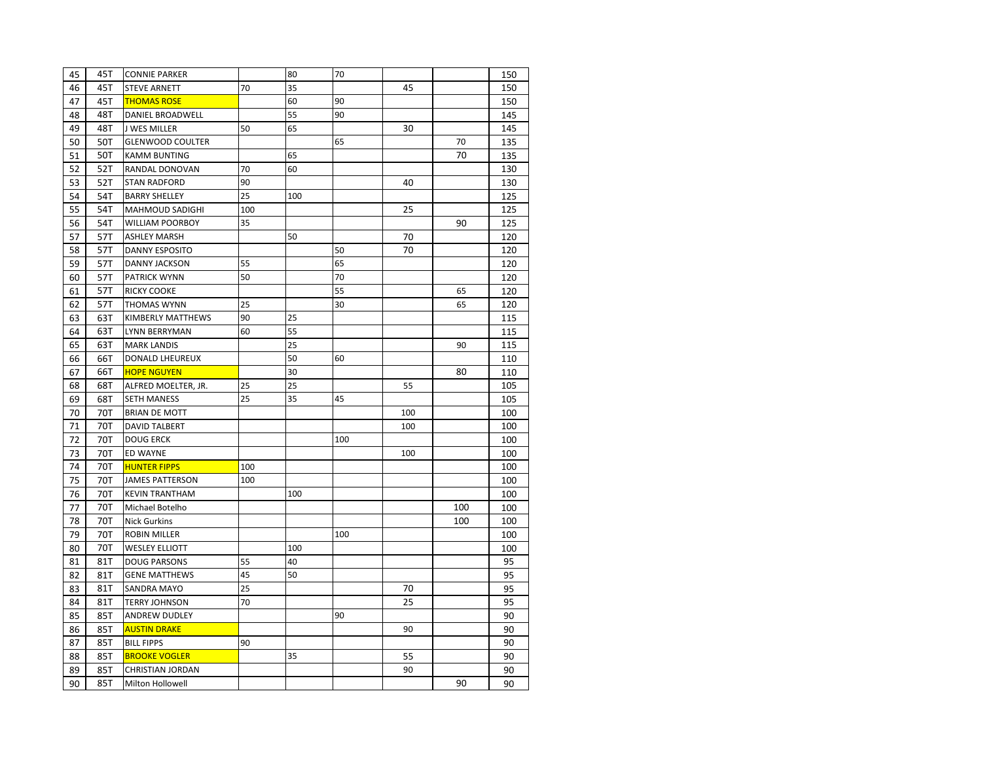| 45 | 45T | <b>CONNIE PARKER</b>    |     | 80  | 70  |     |     | 150 |
|----|-----|-------------------------|-----|-----|-----|-----|-----|-----|
| 46 | 45T | <b>STEVE ARNETT</b>     | 70  | 35  |     | 45  |     | 150 |
| 47 | 45T | <b>THOMAS ROSE</b>      |     | 60  | 90  |     |     | 150 |
| 48 | 48T | DANIEL BROADWELL        |     | 55  | 90  |     |     | 145 |
| 49 | 48T | J WES MILLER            | 50  | 65  |     | 30  |     | 145 |
| 50 | 50T | <b>GLENWOOD COULTER</b> |     |     | 65  |     | 70  | 135 |
| 51 | 50T | <b>KAMM BUNTING</b>     |     | 65  |     |     | 70  | 135 |
| 52 | 52T | RANDAL DONOVAN          | 70  | 60  |     |     |     | 130 |
| 53 | 52T | <b>STAN RADFORD</b>     | 90  |     |     | 40  |     | 130 |
| 54 | 54T | <b>BARRY SHELLEY</b>    | 25  | 100 |     |     |     | 125 |
| 55 | 54T | MAHMOUD SADIGHI         | 100 |     |     | 25  |     | 125 |
| 56 | 54T | <b>WILLIAM POORBOY</b>  | 35  |     |     |     | 90  | 125 |
| 57 | 57T | <b>ASHLEY MARSH</b>     |     | 50  |     | 70  |     | 120 |
| 58 | 57T | <b>DANNY ESPOSITO</b>   |     |     | 50  | 70  |     | 120 |
| 59 | 57T | <b>DANNY JACKSON</b>    | 55  |     | 65  |     |     | 120 |
| 60 | 57T | PATRICK WYNN            | 50  |     | 70  |     |     | 120 |
| 61 | 57T | <b>RICKY COOKE</b>      |     |     | 55  |     | 65  | 120 |
| 62 | 57T | THOMAS WYNN             | 25  |     | 30  |     | 65  | 120 |
| 63 | 63T | KIMBERLY MATTHEWS       | 90  | 25  |     |     |     | 115 |
| 64 | 63T | LYNN BERRYMAN           | 60  | 55  |     |     |     | 115 |
| 65 | 63T | <b>MARK LANDIS</b>      |     | 25  |     |     | 90  | 115 |
| 66 | 66T | DONALD LHEUREUX         |     | 50  | 60  |     |     | 110 |
| 67 | 66T | <b>HOPE NGUYEN</b>      |     | 30  |     |     | 80  | 110 |
| 68 | 68T | ALFRED MOELTER, JR.     | 25  | 25  |     | 55  |     | 105 |
| 69 | 68T | <b>SETH MANESS</b>      | 25  | 35  | 45  |     |     | 105 |
| 70 | 70T | <b>BRIAN DE MOTT</b>    |     |     |     | 100 |     | 100 |
| 71 | 70T | <b>DAVID TALBERT</b>    |     |     |     | 100 |     | 100 |
| 72 | 70T | <b>DOUG ERCK</b>        |     |     | 100 |     |     | 100 |
| 73 | 70T | ED WAYNE                |     |     |     | 100 |     | 100 |
| 74 | 70T | <b>HUNTER FIPPS</b>     | 100 |     |     |     |     | 100 |
| 75 | 70T | <b>JAMES PATTERSON</b>  | 100 |     |     |     |     | 100 |
| 76 | 70T | <b>KEVIN TRANTHAM</b>   |     | 100 |     |     |     | 100 |
| 77 | 70T | Michael Botelho         |     |     |     |     | 100 | 100 |
| 78 | 70T | <b>Nick Gurkins</b>     |     |     |     |     | 100 | 100 |
| 79 | 70T | <b>ROBIN MILLER</b>     |     |     | 100 |     |     | 100 |
| 80 | 70T | <b>WESLEY ELLIOTT</b>   |     | 100 |     |     |     | 100 |
| 81 | 81T | <b>DOUG PARSONS</b>     | 55  | 40  |     |     |     | 95  |
| 82 | 81T | <b>GENE MATTHEWS</b>    | 45  | 50  |     |     |     | 95  |
| 83 | 81T | SANDRA MAYO             | 25  |     |     | 70  |     | 95  |
| 84 | 81T | <b>TERRY JOHNSON</b>    | 70  |     |     | 25  |     | 95  |
| 85 | 85T | ANDREW DUDLEY           |     |     | 90  |     |     | 90  |
| 86 | 85T | <b>AUSTIN DRAKE</b>     |     |     |     | 90  |     | 90  |
| 87 | 85T | <b>BILL FIPPS</b>       | 90  |     |     |     |     | 90  |
| 88 | 85T | <b>BROOKE VOGLER</b>    |     | 35  |     | 55  |     | 90  |
| 89 | 85T | <b>CHRISTIAN JORDAN</b> |     |     |     | 90  |     | 90  |
| 90 | 85T | Milton Hollowell        |     |     |     |     | 90  | 90  |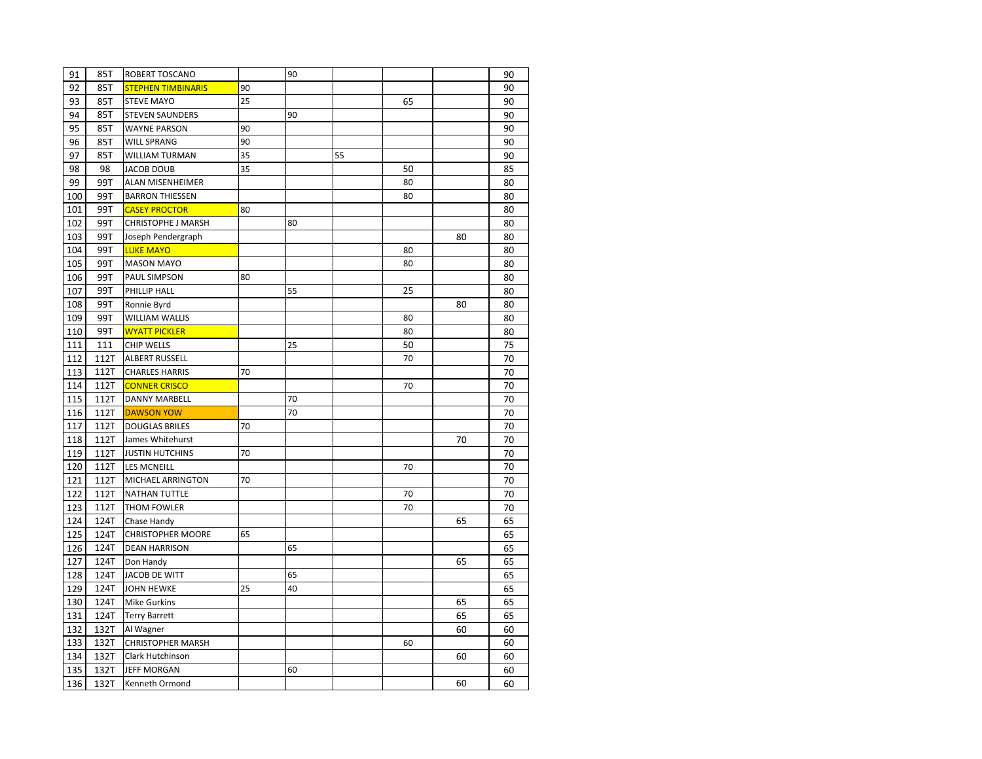| 91  | 85T  | <b>ROBERT TOSCANO</b>     |    | 90 |    |    |    | 90 |
|-----|------|---------------------------|----|----|----|----|----|----|
| 92  | 85T  | <b>STEPHEN TIMBINARIS</b> | 90 |    |    |    |    | 90 |
| 93  | 85T  | <b>STEVE MAYO</b>         | 25 |    |    | 65 |    | 90 |
| 94  | 85T  | <b>STEVEN SAUNDERS</b>    |    | 90 |    |    |    | 90 |
| 95  | 85T  | <b>WAYNE PARSON</b>       | 90 |    |    |    |    | 90 |
| 96  | 85T  | <b>WILL SPRANG</b>        | 90 |    |    |    |    | 90 |
| 97  | 85T  | <b>WILLIAM TURMAN</b>     | 35 |    | 55 |    |    | 90 |
| 98  | 98   | <b>JACOB DOUB</b>         | 35 |    |    | 50 |    | 85 |
| 99  | 99T  | ALAN MISENHEIMER          |    |    |    | 80 |    | 80 |
| 100 | 99T  | <b>BARRON THIESSEN</b>    |    |    |    | 80 |    | 80 |
| 101 | 99T  | <b>CASEY PROCTOR</b>      | 80 |    |    |    |    | 80 |
| 102 | 99T  | CHRISTOPHE J MARSH        |    | 80 |    |    |    | 80 |
| 103 | 99T  | Joseph Pendergraph        |    |    |    |    | 80 | 80 |
| 104 | 99T  | <b>LUKE MAYO</b>          |    |    |    | 80 |    | 80 |
| 105 | 99T  | <b>MASON MAYO</b>         |    |    |    | 80 |    | 80 |
| 106 | 99T  | PAUL SIMPSON              | 80 |    |    |    |    | 80 |
| 107 | 99T  | PHILLIP HALL              |    | 55 |    | 25 |    | 80 |
| 108 | 99T  | Ronnie Byrd               |    |    |    |    | 80 | 80 |
| 109 | 99T  | <b>WILLIAM WALLIS</b>     |    |    |    | 80 |    | 80 |
| 110 | 99T  | <b>WYATT PICKLER</b>      |    |    |    | 80 |    | 80 |
| 111 | 111  | <b>CHIP WELLS</b>         |    | 25 |    | 50 |    | 75 |
| 112 | 112T | <b>ALBERT RUSSELL</b>     |    |    |    | 70 |    | 70 |
| 113 | 112T | <b>CHARLES HARRIS</b>     | 70 |    |    |    |    | 70 |
| 114 | 112T | <b>CONNER CRISCO</b>      |    |    |    | 70 |    | 70 |
| 115 | 112T | <b>DANNY MARBELL</b>      |    | 70 |    |    |    | 70 |
| 116 | 112T | <b>DAWSON YOW</b>         |    | 70 |    |    |    | 70 |
| 117 | 112T | <b>DOUGLAS BRILES</b>     | 70 |    |    |    |    | 70 |
| 118 | 112T | James Whitehurst          |    |    |    |    | 70 | 70 |
| 119 | 112T | <b>JUSTIN HUTCHINS</b>    | 70 |    |    |    |    | 70 |
| 120 | 112T | <b>LES MCNEILL</b>        |    |    |    | 70 |    | 70 |
| 121 | 112T | MICHAEL ARRINGTON         | 70 |    |    |    |    | 70 |
| 122 | 112T | <b>NATHAN TUTTLE</b>      |    |    |    | 70 |    | 70 |
| 123 | 112T | THOM FOWLER               |    |    |    | 70 |    | 70 |
| 124 | 124T | Chase Handy               |    |    |    |    | 65 | 65 |
| 125 | 124T | <b>CHRISTOPHER MOORE</b>  | 65 |    |    |    |    | 65 |
| 126 | 124T | <b>DEAN HARRISON</b>      |    | 65 |    |    |    | 65 |
| 127 | 124T | Don Handy                 |    |    |    |    | 65 | 65 |
| 128 | 124T | JACOB DE WITT             |    | 65 |    |    |    | 65 |
| 129 | 124T | <b>JOHN HEWKE</b>         | 25 | 40 |    |    |    | 65 |
| 130 | 124T | <b>Mike Gurkins</b>       |    |    |    |    | 65 | 65 |
| 131 | 124T | <b>Terry Barrett</b>      |    |    |    |    | 65 | 65 |
| 132 | 132T | Al Wagner                 |    |    |    |    | 60 | 60 |
| 133 | 132T | <b>CHRISTOPHER MARSH</b>  |    |    |    | 60 |    | 60 |
| 134 | 132T | Clark Hutchinson          |    |    |    |    | 60 | 60 |
| 135 | 132T | <b>JEFF MORGAN</b>        |    | 60 |    |    |    | 60 |
| 136 | 132T | Kenneth Ormond            |    |    |    |    | 60 | 60 |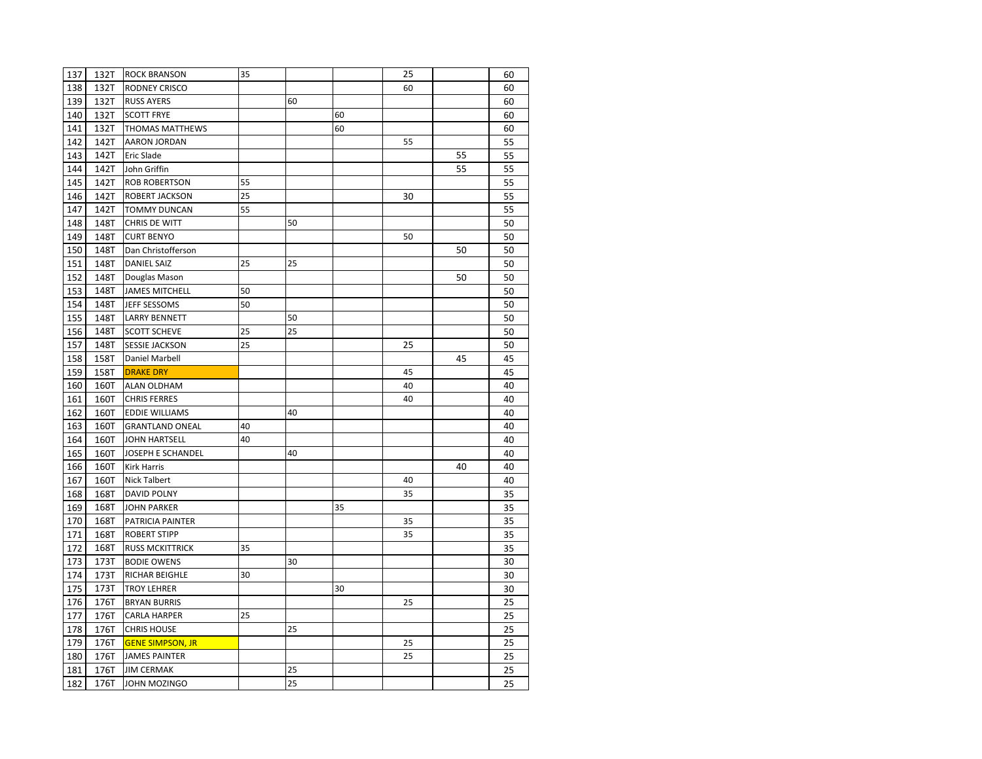| 137 | 132T | <b>ROCK BRANSON</b>     | 35 |    |    | 25 |    | 60 |
|-----|------|-------------------------|----|----|----|----|----|----|
| 138 | 132T | <b>RODNEY CRISCO</b>    |    |    |    | 60 |    | 60 |
| 139 | 132T | <b>RUSS AYERS</b>       |    | 60 |    |    |    | 60 |
| 140 | 132T | <b>SCOTT FRYE</b>       |    |    | 60 |    |    | 60 |
| 141 | 132T | THOMAS MATTHEWS         |    |    | 60 |    |    | 60 |
| 142 | 142T | <b>AARON JORDAN</b>     |    |    |    | 55 |    | 55 |
| 143 | 142T | Eric Slade              |    |    |    |    | 55 | 55 |
| 144 | 142T | John Griffin            |    |    |    |    | 55 | 55 |
| 145 | 142T | <b>ROB ROBERTSON</b>    | 55 |    |    |    |    | 55 |
| 146 | 142T | <b>ROBERT JACKSON</b>   | 25 |    |    | 30 |    | 55 |
| 147 | 142T | <b>TOMMY DUNCAN</b>     | 55 |    |    |    |    | 55 |
| 148 | 148T | <b>CHRIS DE WITT</b>    |    | 50 |    |    |    | 50 |
| 149 | 148T | <b>CURT BENYO</b>       |    |    |    | 50 |    | 50 |
| 150 | 148T | Dan Christofferson      |    |    |    |    | 50 | 50 |
| 151 | 148T | DANIEL SAIZ             | 25 | 25 |    |    |    | 50 |
| 152 | 148T | Douglas Mason           |    |    |    |    | 50 | 50 |
| 153 | 148T | <b>JAMES MITCHELL</b>   | 50 |    |    |    |    | 50 |
| 154 | 148T | JEFF SESSOMS            | 50 |    |    |    |    | 50 |
| 155 | 148T | <b>LARRY BENNETT</b>    |    | 50 |    |    |    | 50 |
| 156 | 148T | <b>SCOTT SCHEVE</b>     | 25 | 25 |    |    |    | 50 |
| 157 | 148T | <b>SESSIE JACKSON</b>   | 25 |    |    | 25 |    | 50 |
| 158 | 158T | Daniel Marbell          |    |    |    |    | 45 | 45 |
| 159 | 158T | <b>DRAKE DRY</b>        |    |    |    | 45 |    | 45 |
| 160 | 160T | ALAN OLDHAM             |    |    |    | 40 |    | 40 |
| 161 | 160T | <b>CHRIS FERRES</b>     |    |    |    | 40 |    | 40 |
| 162 | 160T | <b>EDDIE WILLIAMS</b>   |    | 40 |    |    |    | 40 |
| 163 | 160T | <b>GRANTLAND ONEAL</b>  | 40 |    |    |    |    | 40 |
| 164 | 160T | <b>JOHN HARTSELL</b>    | 40 |    |    |    |    | 40 |
| 165 | 160T | JOSEPH E SCHANDEL       |    | 40 |    |    |    | 40 |
| 166 | 160T | <b>Kirk Harris</b>      |    |    |    |    | 40 | 40 |
| 167 | 160T | Nick Talbert            |    |    |    | 40 |    | 40 |
| 168 | 168T | <b>DAVID POLNY</b>      |    |    |    | 35 |    | 35 |
| 169 | 168T | <b>JOHN PARKER</b>      |    |    | 35 |    |    | 35 |
| 170 | 168T | PATRICIA PAINTER        |    |    |    | 35 |    | 35 |
| 171 | 168T | <b>ROBERT STIPP</b>     |    |    |    | 35 |    | 35 |
| 172 | 168T | <b>RUSS MCKITTRICK</b>  | 35 |    |    |    |    | 35 |
| 173 | 173T | <b>BODIE OWENS</b>      |    | 30 |    |    |    | 30 |
| 174 | 173T | <b>RICHAR BEIGHLE</b>   | 30 |    |    |    |    | 30 |
| 175 | 173T | <b>TROY LEHRER</b>      |    |    | 30 |    |    | 30 |
| 176 | 176T | <b>BRYAN BURRIS</b>     |    |    |    | 25 |    | 25 |
| 177 | 176T | <b>CARLA HARPER</b>     | 25 |    |    |    |    | 25 |
| 178 | 176T | <b>CHRIS HOUSE</b>      |    | 25 |    |    |    | 25 |
| 179 | 176T | <b>GENE SIMPSON, JR</b> |    |    |    | 25 |    | 25 |
| 180 | 176T | <b>JAMES PAINTER</b>    |    |    |    | 25 |    | 25 |
| 181 | 176T | <b>JIM CERMAK</b>       |    | 25 |    |    |    | 25 |
|     |      |                         |    | 25 |    |    |    |    |
| 182 | 176T | JOHN MOZINGO            |    |    |    |    |    | 25 |